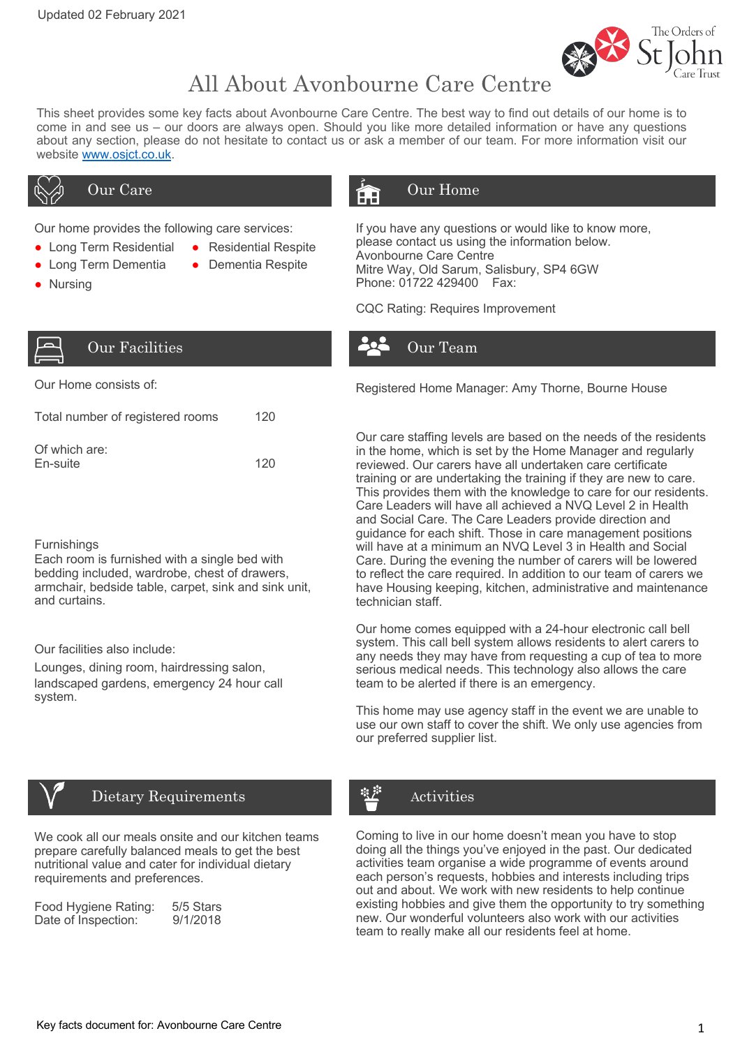

# All About Avonbourne Care Centre

This sheet provides some key facts about Avonbourne Care Centre. The best way to find out details of our home is to come in and see us – our doors are always open. Should you like more detailed information or have any questions about any section, please do not hesitate to contact us or ask a member of our team. For more information visit our website www.osjct.co.uk.

- Long Term Residential Residential Respite
- Long Term Dementia Dementia Respite
- Nursing

## Our Care **Our Line** Our Home

Our home provides the following care services: If you have any questions or would like to know more, please contact us using the information below. Avonbourne Care Centre Mitre Way, Old Sarum, Salisbury, SP4 6GW Phone: 01722 429400 Fax:

CQC Rating: Requires Improvement



## Our Facilities and the Contract of the Our Team

| Total number of registered rooms | 120 |
|----------------------------------|-----|
| Of which are:<br>En-suite        | 120 |

### **Furnishings**

Each room is furnished with a single bed with bedding included, wardrobe, chest of drawers, armchair, bedside table, carpet, sink and sink unit, and curtains.

Our facilities also include:

Lounges, dining room, hairdressing salon, landscaped gardens, emergency 24 hour call system.



## Dietary Requirements

We cook all our meals onsite and our kitchen teams prepare carefully balanced meals to get the best nutritional value and cater for individual dietary requirements and preferences.

| Food Hygiene Rating: | 5/5 Stars |
|----------------------|-----------|
| Date of Inspection:  | 9/1/2018  |

Our Home consists of: The Manager: Amy Thorne, Bourne House

Our care staffing levels are based on the needs of the residents in the home, which is set by the Home Manager and regularly reviewed. Our carers have all undertaken care certificate training or are undertaking the training if they are new to care. This provides them with the knowledge to care for our residents. Care Leaders will have all achieved a NVQ Level 2 in Health and Social Care. The Care Leaders provide direction and guidance for each shift. Those in care management positions will have at a minimum an NVQ Level 3 in Health and Social Care. During the evening the number of carers will be lowered to reflect the care required. In addition to our team of carers we have Housing keeping, kitchen, administrative and maintenance technician staff.

Our home comes equipped with a 24-hour electronic call bell system. This call bell system allows residents to alert carers to any needs they may have from requesting a cup of tea to more serious medical needs. This technology also allows the care team to be alerted if there is an emergency.

This home may use agency staff in the event we are unable to use our own staff to cover the shift. We only use agencies from our preferred supplier list.

## Activities

Coming to live in our home doesn't mean you have to stop doing all the things you've enjoyed in the past. Our dedicated activities team organise a wide programme of events around each person's requests, hobbies and interests including trips out and about. We work with new residents to help continue existing hobbies and give them the opportunity to try something new. Our wonderful volunteers also work with our activities team to really make all our residents feel at home.